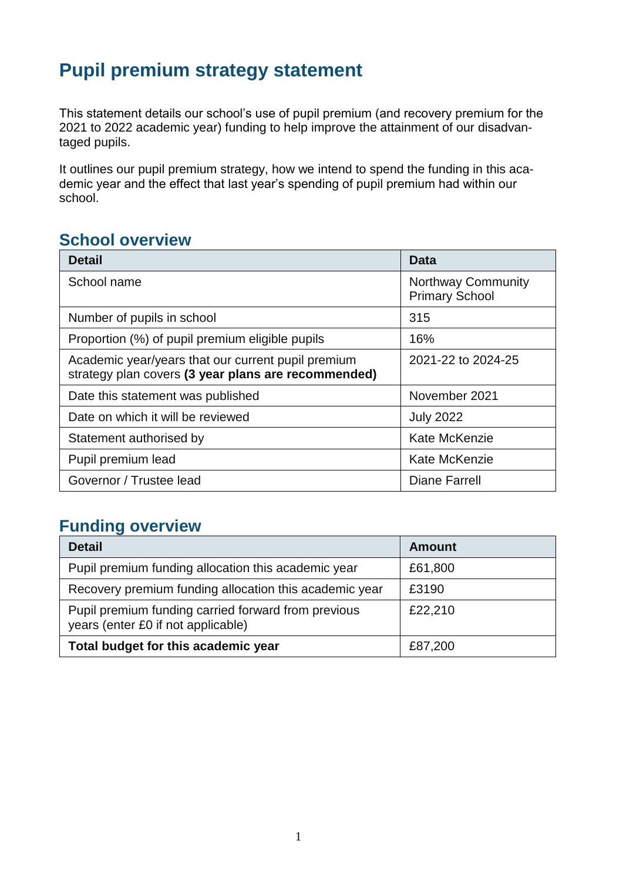## **Pupil premium strategy statement**

This statement details our school's use of pupil premium (and recovery premium for the 2021 to 2022 academic year) funding to help improve the attainment of our disadvantaged pupils.

It outlines our pupil premium strategy, how we intend to spend the funding in this academic year and the effect that last year's spending of pupil premium had within our school.

## **School overview**

| <b>Detail</b>                                                                                             | Data                                               |
|-----------------------------------------------------------------------------------------------------------|----------------------------------------------------|
| School name                                                                                               | <b>Northway Community</b><br><b>Primary School</b> |
| Number of pupils in school                                                                                | 315                                                |
| Proportion (%) of pupil premium eligible pupils                                                           | 16%                                                |
| Academic year/years that our current pupil premium<br>strategy plan covers (3 year plans are recommended) | 2021-22 to 2024-25                                 |
| Date this statement was published                                                                         | November 2021                                      |
| Date on which it will be reviewed                                                                         | <b>July 2022</b>                                   |
| Statement authorised by                                                                                   | Kate McKenzie                                      |
| Pupil premium lead                                                                                        | Kate McKenzie                                      |
| Governor / Trustee lead                                                                                   | Diane Farrell                                      |

## **Funding overview**

| <b>Detail</b>                                                                             | <b>Amount</b> |
|-------------------------------------------------------------------------------------------|---------------|
| Pupil premium funding allocation this academic year                                       | £61,800       |
| Recovery premium funding allocation this academic year                                    | £3190         |
| Pupil premium funding carried forward from previous<br>years (enter £0 if not applicable) | £22,210       |
| Total budget for this academic year                                                       | £87,200       |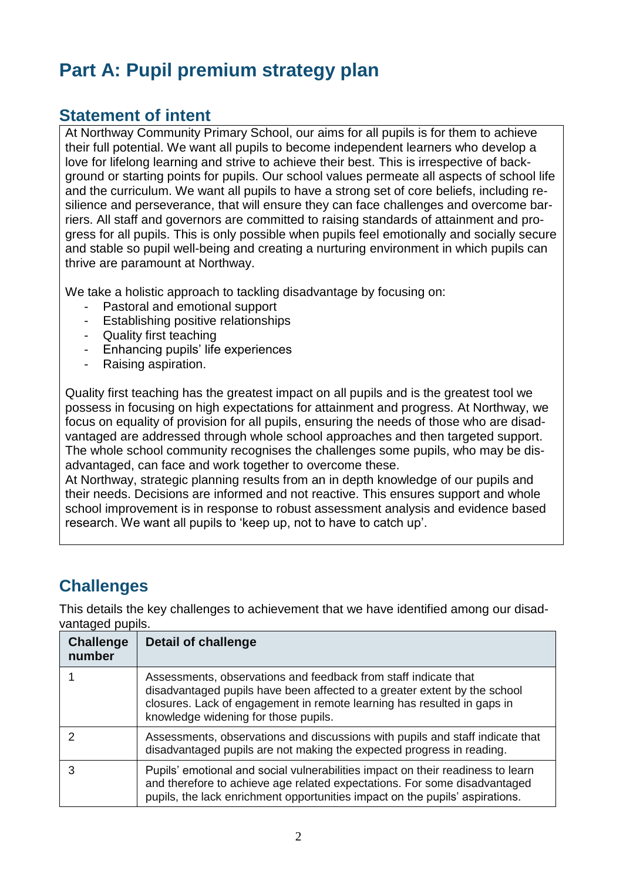# **Part A: Pupil premium strategy plan**

### **Statement of intent**

At Northway Community Primary School, our aims for all pupils is for them to achieve their full potential. We want all pupils to become independent learners who develop a love for lifelong learning and strive to achieve their best. This is irrespective of background or starting points for pupils. Our school values permeate all aspects of school life and the curriculum. We want all pupils to have a strong set of core beliefs, including resilience and perseverance, that will ensure they can face challenges and overcome barriers. All staff and governors are committed to raising standards of attainment and progress for all pupils. This is only possible when pupils feel emotionally and socially secure and stable so pupil well-being and creating a nurturing environment in which pupils can thrive are paramount at Northway.

We take a holistic approach to tackling disadvantage by focusing on:

- Pastoral and emotional support
- Establishing positive relationships
- Quality first teaching
- Enhancing pupils' life experiences
- Raising aspiration.

Quality first teaching has the greatest impact on all pupils and is the greatest tool we possess in focusing on high expectations for attainment and progress. At Northway, we focus on equality of provision for all pupils, ensuring the needs of those who are disadvantaged are addressed through whole school approaches and then targeted support. The whole school community recognises the challenges some pupils, who may be disadvantaged, can face and work together to overcome these.

At Northway, strategic planning results from an in depth knowledge of our pupils and their needs. Decisions are informed and not reactive. This ensures support and whole school improvement is in response to robust assessment analysis and evidence based research. We want all pupils to 'keep up, not to have to catch up'.

## **Challenges**

This details the key challenges to achievement that we have identified among our disadvantaged pupils.

| <b>Challenge</b><br>number | <b>Detail of challenge</b>                                                                                                                                                                                                                                      |
|----------------------------|-----------------------------------------------------------------------------------------------------------------------------------------------------------------------------------------------------------------------------------------------------------------|
|                            | Assessments, observations and feedback from staff indicate that<br>disadvantaged pupils have been affected to a greater extent by the school<br>closures. Lack of engagement in remote learning has resulted in gaps in<br>knowledge widening for those pupils. |
|                            | Assessments, observations and discussions with pupils and staff indicate that<br>disadvantaged pupils are not making the expected progress in reading.                                                                                                          |
| 3                          | Pupils' emotional and social vulnerabilities impact on their readiness to learn<br>and therefore to achieve age related expectations. For some disadvantaged<br>pupils, the lack enrichment opportunities impact on the pupils' aspirations.                    |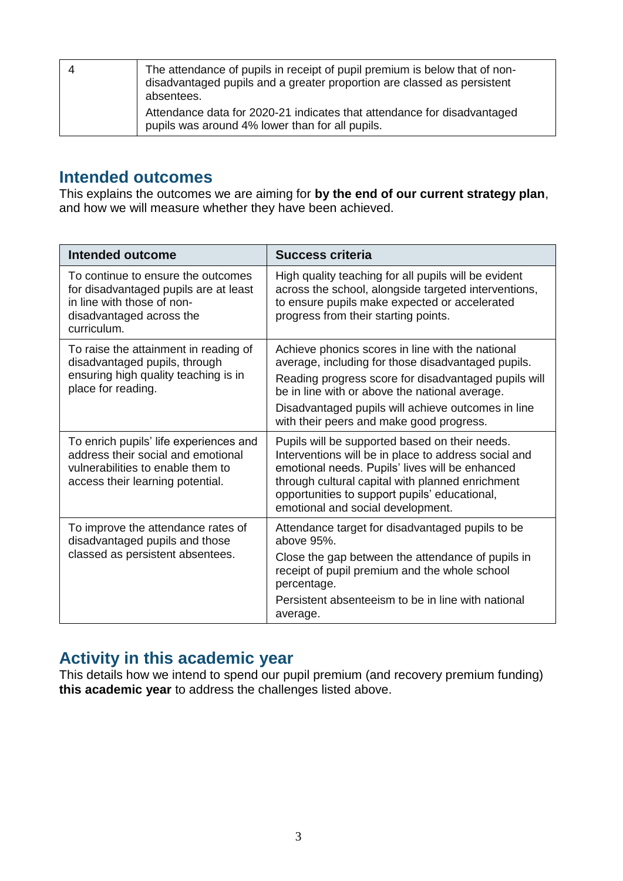| The attendance of pupils in receipt of pupil premium is below that of non-<br>disadvantaged pupils and a greater proportion are classed as persistent<br>absentees. |
|---------------------------------------------------------------------------------------------------------------------------------------------------------------------|
| Attendance data for 2020-21 indicates that attendance for disadvantaged<br>pupils was around 4% lower than for all pupils.                                          |

#### **Intended outcomes**

This explains the outcomes we are aiming for **by the end of our current strategy plan**, and how we will measure whether they have been achieved.

| Intended outcome                                                                                                                                      | <b>Success criteria</b>                                                                                                                                                                                                                                                                                            |
|-------------------------------------------------------------------------------------------------------------------------------------------------------|--------------------------------------------------------------------------------------------------------------------------------------------------------------------------------------------------------------------------------------------------------------------------------------------------------------------|
| To continue to ensure the outcomes<br>for disadvantaged pupils are at least<br>in line with those of non-<br>disadvantaged across the<br>curriculum.  | High quality teaching for all pupils will be evident<br>across the school, alongside targeted interventions,<br>to ensure pupils make expected or accelerated<br>progress from their starting points.                                                                                                              |
| To raise the attainment in reading of<br>disadvantaged pupils, through<br>ensuring high quality teaching is in<br>place for reading.                  | Achieve phonics scores in line with the national<br>average, including for those disadvantaged pupils.<br>Reading progress score for disadvantaged pupils will<br>be in line with or above the national average.<br>Disadvantaged pupils will achieve outcomes in line<br>with their peers and make good progress. |
| To enrich pupils' life experiences and<br>address their social and emotional<br>vulnerabilities to enable them to<br>access their learning potential. | Pupils will be supported based on their needs.<br>Interventions will be in place to address social and<br>emotional needs. Pupils' lives will be enhanced<br>through cultural capital with planned enrichment<br>opportunities to support pupils' educational,<br>emotional and social development.                |
| To improve the attendance rates of<br>disadvantaged pupils and those<br>classed as persistent absentees.                                              | Attendance target for disadvantaged pupils to be<br>above 95%.<br>Close the gap between the attendance of pupils in<br>receipt of pupil premium and the whole school<br>percentage.<br>Persistent absenteeism to be in line with national<br>average.                                                              |

#### **Activity in this academic year**

This details how we intend to spend our pupil premium (and recovery premium funding) **this academic year** to address the challenges listed above.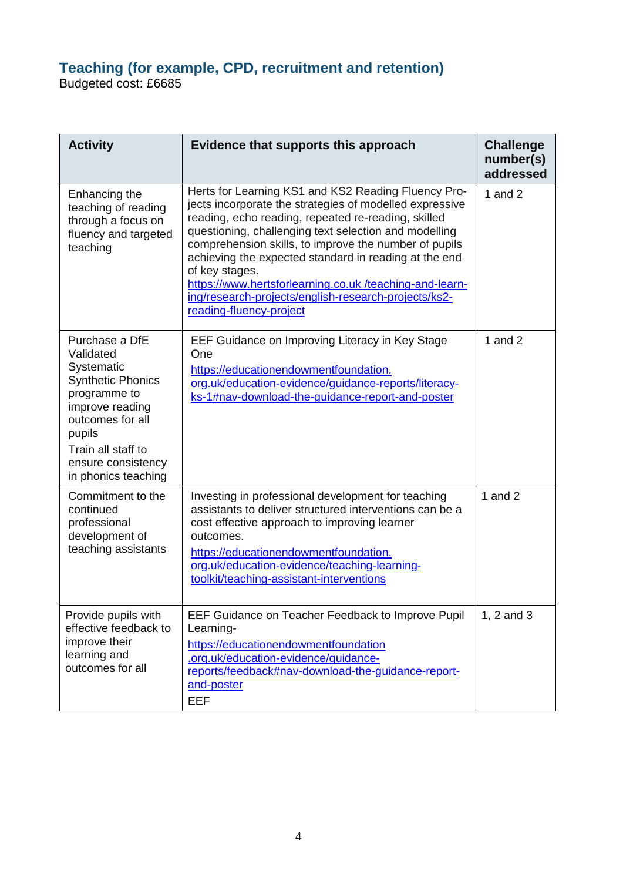#### **Teaching (for example, CPD, recruitment and retention)**

Budgeted cost: £6685

| <b>Activity</b>                                                                                                                                                                                           | Evidence that supports this approach                                                                                                                                                                                                                                                                                                                                                                                                                                                                            | <b>Challenge</b><br>number(s)<br>addressed |
|-----------------------------------------------------------------------------------------------------------------------------------------------------------------------------------------------------------|-----------------------------------------------------------------------------------------------------------------------------------------------------------------------------------------------------------------------------------------------------------------------------------------------------------------------------------------------------------------------------------------------------------------------------------------------------------------------------------------------------------------|--------------------------------------------|
| Enhancing the<br>teaching of reading<br>through a focus on<br>fluency and targeted<br>teaching                                                                                                            | Herts for Learning KS1 and KS2 Reading Fluency Pro-<br>jects incorporate the strategies of modelled expressive<br>reading, echo reading, repeated re-reading, skilled<br>questioning, challenging text selection and modelling<br>comprehension skills, to improve the number of pupils<br>achieving the expected standard in reading at the end<br>of key stages.<br>https://www.hertsforlearning.co.uk/teaching-and-learn-<br>ing/research-projects/english-research-projects/ks2-<br>reading-fluency-project | 1 and $2$                                  |
| Purchase a DfE<br>Validated<br>Systematic<br><b>Synthetic Phonics</b><br>programme to<br>improve reading<br>outcomes for all<br>pupils<br>Train all staff to<br>ensure consistency<br>in phonics teaching | EEF Guidance on Improving Literacy in Key Stage<br>One<br>https://educationendowmentfoundation.<br>org.uk/education-evidence/guidance-reports/literacy-<br>ks-1#nav-download-the-guidance-report-and-poster                                                                                                                                                                                                                                                                                                     | 1 and $2$                                  |
| Commitment to the<br>continued<br>professional<br>development of<br>teaching assistants                                                                                                                   | Investing in professional development for teaching<br>assistants to deliver structured interventions can be a<br>cost effective approach to improving learner<br>outcomes.<br>https://educationendowmentfoundation.<br>org.uk/education-evidence/teaching-learning-<br>toolkit/teaching-assistant-interventions                                                                                                                                                                                                 | 1 and $2$                                  |
| Provide pupils with<br>effective feedback to<br>improve their<br>learning and<br>outcomes for all                                                                                                         | EEF Guidance on Teacher Feedback to Improve Pupil<br>Learning-<br>https://educationendowmentfoundation<br>.org.uk/education-evidence/guidance-<br>reports/feedback#nav-download-the-guidance-report-<br>and-poster<br><b>EEF</b>                                                                                                                                                                                                                                                                                | 1, 2 and 3                                 |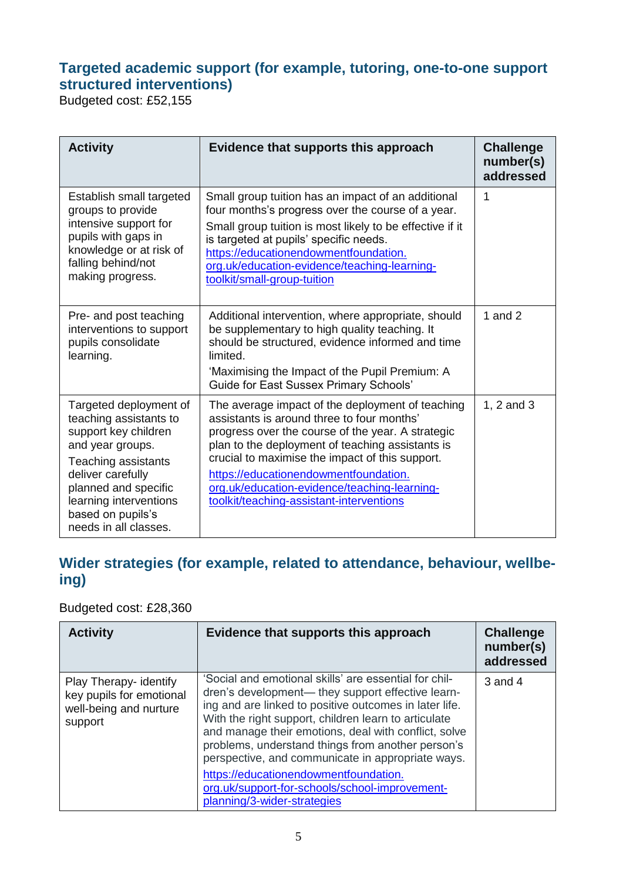#### **Targeted academic support (for example, tutoring, one-to-one support structured interventions)**

Budgeted cost: £52,155

| <b>Activity</b>                                                                                                                                                                                                                          | Evidence that supports this approach                                                                                                                                                                                                                                                                                                                                                            | <b>Challenge</b><br>number(s)<br>addressed |
|------------------------------------------------------------------------------------------------------------------------------------------------------------------------------------------------------------------------------------------|-------------------------------------------------------------------------------------------------------------------------------------------------------------------------------------------------------------------------------------------------------------------------------------------------------------------------------------------------------------------------------------------------|--------------------------------------------|
| Establish small targeted<br>groups to provide<br>intensive support for<br>pupils with gaps in<br>knowledge or at risk of<br>falling behind/not<br>making progress.                                                                       | Small group tuition has an impact of an additional<br>four months's progress over the course of a year.<br>Small group tuition is most likely to be effective if it<br>is targeted at pupils' specific needs.<br>https://educationendowmentfoundation.<br>org.uk/education-evidence/teaching-learning-<br>toolkit/small-group-tuition                                                           | 1                                          |
| Pre- and post teaching<br>interventions to support<br>pupils consolidate<br>learning.                                                                                                                                                    | Additional intervention, where appropriate, should<br>be supplementary to high quality teaching. It<br>should be structured, evidence informed and time<br>limited.<br>'Maximising the Impact of the Pupil Premium: A<br><b>Guide for East Sussex Primary Schools'</b>                                                                                                                          | 1 and $2$                                  |
| Targeted deployment of<br>teaching assistants to<br>support key children<br>and year groups.<br>Teaching assistants<br>deliver carefully<br>planned and specific<br>learning interventions<br>based on pupils's<br>needs in all classes. | The average impact of the deployment of teaching<br>assistants is around three to four months'<br>progress over the course of the year. A strategic<br>plan to the deployment of teaching assistants is<br>crucial to maximise the impact of this support.<br>https://educationendowmentfoundation.<br>org.uk/education-evidence/teaching-learning-<br>toolkit/teaching-assistant-interventions | 1, 2 and 3                                 |

## **Wider strategies (for example, related to attendance, behaviour, wellbeing)**

Budgeted cost: £28,360

| <b>Activity</b>                                                                         | Evidence that supports this approach                                                                                                                                                                                                                                                                                                                                                                                                                                                                                     | <b>Challenge</b><br>number(s)<br>addressed |
|-----------------------------------------------------------------------------------------|--------------------------------------------------------------------------------------------------------------------------------------------------------------------------------------------------------------------------------------------------------------------------------------------------------------------------------------------------------------------------------------------------------------------------------------------------------------------------------------------------------------------------|--------------------------------------------|
| Play Therapy- identify<br>key pupils for emotional<br>well-being and nurture<br>support | 'Social and emotional skills' are essential for chil-<br>dren's development— they support effective learn-<br>ing and are linked to positive outcomes in later life.<br>With the right support, children learn to articulate<br>and manage their emotions, deal with conflict, solve<br>problems, understand things from another person's<br>perspective, and communicate in appropriate ways.<br>https://educationendowmentfoundation.<br>org.uk/support-for-schools/school-improvement-<br>planning/3-wider-strategies | 3 and 4                                    |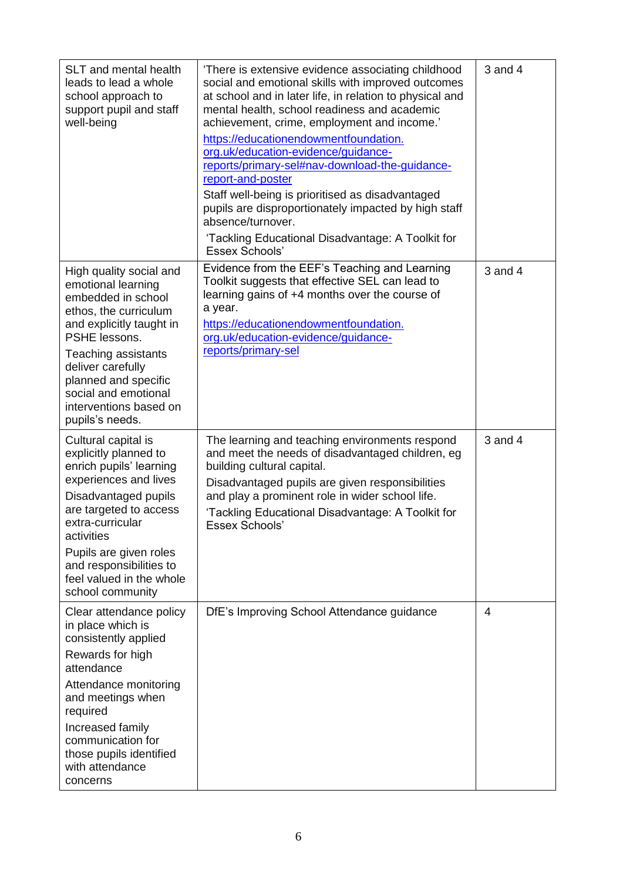| SLT and mental health<br>leads to lead a whole<br>school approach to<br>support pupil and staff<br>well-being                                                                                                                                                                             | 'There is extensive evidence associating childhood<br>social and emotional skills with improved outcomes<br>at school and in later life, in relation to physical and<br>mental health, school readiness and academic<br>achievement, crime, employment and income.'<br>https://educationendowmentfoundation.<br>org.uk/education-evidence/guidance-<br>reports/primary-sel#nav-download-the-guidance-<br>report-and-poster<br>Staff well-being is prioritised as disadvantaged<br>pupils are disproportionately impacted by high staff<br>absence/turnover.<br>'Tackling Educational Disadvantage: A Toolkit for<br><b>Essex Schools'</b> | 3 and 4 |
|-------------------------------------------------------------------------------------------------------------------------------------------------------------------------------------------------------------------------------------------------------------------------------------------|-------------------------------------------------------------------------------------------------------------------------------------------------------------------------------------------------------------------------------------------------------------------------------------------------------------------------------------------------------------------------------------------------------------------------------------------------------------------------------------------------------------------------------------------------------------------------------------------------------------------------------------------|---------|
| High quality social and<br>emotional learning<br>embedded in school<br>ethos, the curriculum<br>and explicitly taught in<br>PSHE lessons.<br>Teaching assistants<br>deliver carefully<br>planned and specific<br>social and emotional<br>interventions based on<br>pupils's needs.        | Evidence from the EEF's Teaching and Learning<br>Toolkit suggests that effective SEL can lead to<br>learning gains of +4 months over the course of<br>a year.<br>https://educationendowmentfoundation.<br>org.uk/education-evidence/guidance-<br>reports/primary-sel                                                                                                                                                                                                                                                                                                                                                                      | 3 and 4 |
| Cultural capital is<br>explicitly planned to<br>enrich pupils' learning<br>experiences and lives<br>Disadvantaged pupils<br>are targeted to access<br>extra-curricular<br>activities<br>Pupils are given roles<br>and responsibilities to<br>feel valued in the whole<br>school community | The learning and teaching environments respond<br>and meet the needs of disadvantaged children, eg<br>building cultural capital.<br>Disadvantaged pupils are given responsibilities<br>and play a prominent role in wider school life.<br>'Tackling Educational Disadvantage: A Toolkit for<br>Essex Schools'                                                                                                                                                                                                                                                                                                                             | 3 and 4 |
| Clear attendance policy<br>in place which is<br>consistently applied<br>Rewards for high<br>attendance<br>Attendance monitoring<br>and meetings when<br>required<br>Increased family<br>communication for<br>those pupils identified<br>with attendance<br>concerns                       | DfE's Improving School Attendance guidance                                                                                                                                                                                                                                                                                                                                                                                                                                                                                                                                                                                                | 4       |